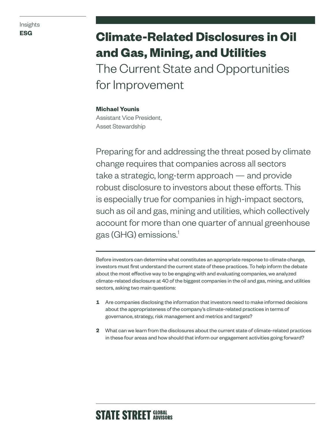# **ESG Climate-Related Disclosures in Oil and Gas, Mining, and Utilities**  The Current State and Opportunities for Improvement

**Michael Younis** Assistant Vice President,

Asset Stewardship

Preparing for and addressing the threat posed by climate change requires that companies across all sectors take a strategic, long-term approach — and provide robust disclosure to investors about these efforts. This is especially true for companies in high-impact sectors, such as oil and gas, mining and utilities, which collectively account for more than one quarter of annual greenhouse gas (GHG) emissions.1

Before investors can determine what constitutes an appropriate response to climate change, investors must first understand the current state of these practices. To help inform the debate about the most effective way to be engaging with and evaluating companies, we analyzed climate-related disclosure at 40 of the biggest companies in the oil and gas, mining, and utilities sectors, asking two main questions:

- **1** Are companies disclosing the information that investors need to make informed decisions about the appropriateness of the company's climate-related practices in terms of governance, strategy, risk management and metrics and targets?
- **2** What can we learn from the disclosures about the current state of climate-related practices in these four areas and how should that inform our engagement activities going forward?

# **STATE STREET GLOBAL**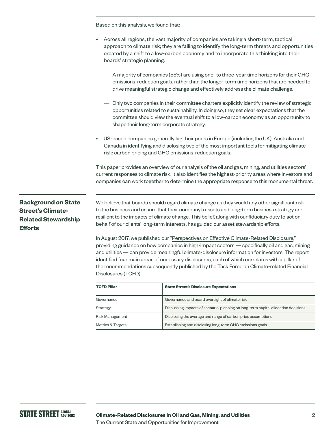Based on this analysis, we found that:

| • Across all regions, the vast majority of companies are taking a short-term, tactical         |
|------------------------------------------------------------------------------------------------|
| approach to climate risk; they are failing to identify the long-term threats and opportunities |
| created by a shift to a low-carbon economy and to incorporate this thinking into their         |
| boards' strategic planning.                                                                    |

- A majority of companies (55%) are using one- to three-year time horizons for their GHG emissions-reduction goals, rather than the longer-term time horizons that are needed to drive meaningful strategic change and effectively address the climate challenge.
- Only two companies in their committee charters explicitly identify the review of strategic opportunities related to sustainability. In doing so, they set clear expectations that the committee should view the eventual shift to a low-carbon economy as an opportunity to shape their long-term corporate strategy.
- US-based companies generally lag their peers in Europe (including the UK), Australia and Canada in identifying and disclosing two of the most important tools for mitigating climate risk: carbon pricing and GHG emissions-reduction goals.

This paper provides an overview of our analysis of the oil and gas, mining, and utilities sectors' current responses to climate risk. It also identifies the highest-priority areas where investors and companies can work together to determine the appropriate response to this monumental threat.

# **Background on State Street's Climate-Related Stewardship Efforts**

We believe that boards should regard climate change as they would any other significant risk to the business and ensure that their company's assets and long-term business strategy are resilient to the impacts of climate change. This belief, along with our fiduciary duty to act on behalf of our clients' long-term interests, has guided our asset stewardship efforts.

In August 2017, we published our "[Perspectives on Effective Climate-Related Disclosure](https://www.ssga.com/investment-topics/environmental-social-governance/2017/perspectives-on-effective-climate-change-disclosure.pdf)," providing guidance on how companies in high-impact sectors — specifically oil and gas, mining and utilities — can provide meaningful climate-disclosure information for investors. The report identified four main areas of necessary disclosures, each of which correlates with a pillar of the recommendations subsequently published by the Task Force on Climate-related Financial Disclosures (TCFD):

| <b>TCFD Pillar</b>           | <b>State Street's Disclosure Expectations</b>                                     |
|------------------------------|-----------------------------------------------------------------------------------|
| Governance                   | Governance and board oversight of climate risk                                    |
| Strategy                     | Discussing impacts of scenario-planning on long-term capital allocation decisions |
| Risk Management              | Disclosing the average and range of carbon price assumptions                      |
| <b>Metrics &amp; Targets</b> | Establishing and disclosing long-term GHG emissions goals                         |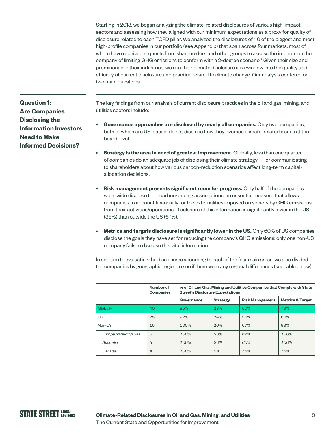Starting in 2018, we began analyzing the climate-related disclosures of various high-impact sectors and assessing how they aligned with our minimum expectations as a proxy for quality of disclosure related to each TCFD pillar. We analyzed the disclosures of 40 of the biggest and most high-profile companies in our portfolio (see Appendix) that span across four markets, most of whom have received requests from shareholders and other groups to assess the impacts on the company of limiting GHG emissions to conform with a 2-degree scenario.<sup>2</sup> Given their size and prominence in their industries, we use their climate disclosure as a window into the quality and efficacy of current disclosure and practice related to climate change. Our analysis centered on two main questions.

**Question 1: Are Companies Disclosing the Information Investors Need to Make Informed Decisions?**

The key findings from our analysis of current disclosure practices in the oil and gas, mining, and utilities sectors include:

- **Governance approaches are disclosed by nearly all companies.** Only two companies, both of which are US-based, do not disclose how they oversee climate-related issues at the board level.
- **Strategy is the area in need of greatest improvement.** Globally, less than one quarter of companies do an adequate job of disclosing their climate strategy — or communicating to shareholders about how various carbon-reduction scenarios affect long-term capitalallocation decisions.
- **Risk management presents significant room for progress.** Only half of the companies worldwide disclose their carbon-pricing assumptions, an essential measure that allows companies to account financially for the externalities imposed on society by GHG emissions from their activities/operations. Disclosure of this information is significantly lower in the US (36%) than outside the US (67%).
- **Metrics and targets disclosure is significantly lower in the US.** Only 60% of US companies disclose the goals they have set for reducing the company's GHG emissions; only one non-US company fails to disclose this vital information.

In addition to evaluating the disclosures according to each of the four main areas, we also divided the companies by geographic region to see if there were any regional differences (see table below).

|                       | Number of<br><b>Companies</b> | % of Oil and Gas, Mining and Utilities Companies that Comply with State<br><b>Street's Disclosure Expectations</b> |                 |                        |                             |
|-----------------------|-------------------------------|--------------------------------------------------------------------------------------------------------------------|-----------------|------------------------|-----------------------------|
|                       |                               | Governance                                                                                                         | <b>Strategy</b> | <b>Risk Management</b> | <b>Metrics &amp; Target</b> |
| Globally              | 40                            | 95%                                                                                                                | 23%             | 50%                    | 73%                         |
| US                    | 25                            | 92%                                                                                                                | 24%             | 36%                    | 60%                         |
| Non-US                | 15                            | 100%                                                                                                               | 20%             | 67%                    | 93%                         |
| Europe (including UK) | 6                             | 100%                                                                                                               | 33%             | 67%                    | 100%                        |
| Australia             | 5                             | 100%                                                                                                               | 20%             | 60%                    | 100%                        |
| Canada                | $\overline{4}$                | 100%                                                                                                               | $O\%$           | 75%                    | 75%                         |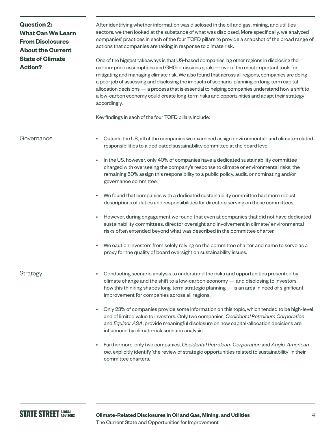| <b>Question 2:</b><br><b>What Can We Learn</b><br><b>From Disclosures</b><br><b>About the Current</b><br><b>State of Climate</b><br><b>Action?</b> | After identifying whether information was disclosed in the oil and gas, mining, and utilities<br>sectors, we then looked at the substance of what was disclosed. More specifically, we analyzed<br>companies' practices in each of the four TCFD pillars to provide a snapshot of the broad range of<br>actions that companies are taking in response to climate risk.<br>One of the biggest takeaways is that US-based companies lag other regions in disclosing their<br>carbon-price assumptions and GHG-emissions goals - two of the most important tools for<br>mitigating and managing climate risk. We also found that across all regions, companies are doing<br>a poor job of assessing and disclosing the impacts of scenario-planning on long-term capital<br>allocation decisions - a process that is essential to helping companies understand how a shift to<br>a low-carbon economy could create long-term risks and opportunities and adapt their strategy<br>accordingly.<br>Key findings in each of the four TCFD pillars include: |  |  |  |
|----------------------------------------------------------------------------------------------------------------------------------------------------|------------------------------------------------------------------------------------------------------------------------------------------------------------------------------------------------------------------------------------------------------------------------------------------------------------------------------------------------------------------------------------------------------------------------------------------------------------------------------------------------------------------------------------------------------------------------------------------------------------------------------------------------------------------------------------------------------------------------------------------------------------------------------------------------------------------------------------------------------------------------------------------------------------------------------------------------------------------------------------------------------------------------------------------------------|--|--|--|
| Governance                                                                                                                                         | Outside the US, all of the companies we examined assign environmental- and climate-related<br>responsibilities to a dedicated sustainability committee at the board level.                                                                                                                                                                                                                                                                                                                                                                                                                                                                                                                                                                                                                                                                                                                                                                                                                                                                           |  |  |  |
|                                                                                                                                                    | In the US, however, only 40% of companies have a dedicated sustainability committee<br>$\bullet$<br>charged with overseeing the company's response to climate or environmental risks; the<br>remaining 60% assign this responsibility to a public policy, audit, or nominating and/or<br>governance committee.                                                                                                                                                                                                                                                                                                                                                                                                                                                                                                                                                                                                                                                                                                                                       |  |  |  |
|                                                                                                                                                    | We found that companies with a dedicated sustainability committee had more robust<br>$\bullet$<br>descriptions of duties and responsibilities for directors serving on those committees.                                                                                                                                                                                                                                                                                                                                                                                                                                                                                                                                                                                                                                                                                                                                                                                                                                                             |  |  |  |
|                                                                                                                                                    | However, during engagement we found that even at companies that did not have dedicated<br>sustainability committees, director oversight and involvement in climate/environmental<br>risks often extended beyond what was described in the committee charter.                                                                                                                                                                                                                                                                                                                                                                                                                                                                                                                                                                                                                                                                                                                                                                                         |  |  |  |
|                                                                                                                                                    | We caution investors from solely relying on the committee charter and name to serve as a<br>$\bullet$<br>proxy for the quality of board oversight on sustainability issues.                                                                                                                                                                                                                                                                                                                                                                                                                                                                                                                                                                                                                                                                                                                                                                                                                                                                          |  |  |  |
| Strategy                                                                                                                                           | Conducting scenario analysis to understand the risks and opportunities presented by<br>climate change and the shift to a low-carbon economy - and disclosing to investors<br>how this thinking shapes long-term strategic planning - is an area in need of significant<br>improvement for companies across all regions.                                                                                                                                                                                                                                                                                                                                                                                                                                                                                                                                                                                                                                                                                                                              |  |  |  |
|                                                                                                                                                    | Only 23% of companies provide some information on this topic, which tended to be high-level<br>and of limited value to investors. Only two companies, Occidental Petroleum Corporation<br>and Equinor ASA, provide meaningful disclosure on how capital-allocation decisions are<br>influenced by climate-risk scenario analysis.                                                                                                                                                                                                                                                                                                                                                                                                                                                                                                                                                                                                                                                                                                                    |  |  |  |
|                                                                                                                                                    | Furthermore, only two companies, Occidental Petroleum Corporation and Anglo-American<br>$p/c$ , explicitly identify 'the review of strategic opportunities related to sustainability' in their<br>committee charters.                                                                                                                                                                                                                                                                                                                                                                                                                                                                                                                                                                                                                                                                                                                                                                                                                                |  |  |  |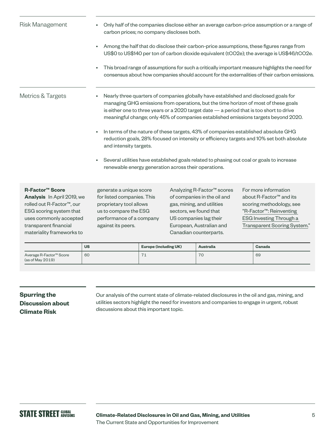| <b>Risk Management</b> | Only half of the companies disclose either an average carbon-price assumption or a range of<br>carbon prices; no company discloses both.                                                                                                                                                                                                                                                                                                                                                                                                                                        |
|------------------------|---------------------------------------------------------------------------------------------------------------------------------------------------------------------------------------------------------------------------------------------------------------------------------------------------------------------------------------------------------------------------------------------------------------------------------------------------------------------------------------------------------------------------------------------------------------------------------|
|                        | Among the half that do disclose their carbon-price assumptions, these figures range from<br>US\$0 to US\$140 per ton of carbon dioxide equivalent (tCO2e); the average is US\$46/tCO2e.                                                                                                                                                                                                                                                                                                                                                                                         |
|                        | This broad range of assumptions for such a critically important measure highlights the need for<br>consensus about how companies should account for the externalities of their carbon emissions.                                                                                                                                                                                                                                                                                                                                                                                |
| Metrics & Targets      | Nearly three quarters of companies globally have established and disclosed goals for<br>managing GHG emissions from operations, but the time horizon of most of these goals<br>is either one to three years or a $2020$ target date $-$ a period that is too short to drive<br>meaningful change; only 45% of companies established emissions targets beyond 2020.<br>In terms of the nature of these targets, 43% of companies established absolute GHG<br>reduction goals, 28% focused on intensity or efficiency targets and 10% set both absolute<br>and intensity targets. |
|                        | Several utilities have established goals related to phasing out coal or goals to increase<br>renewable energy generation across their operations.                                                                                                                                                                                                                                                                                                                                                                                                                               |

### **R-Factor™ Score**

**Analysis** In April 2019, we rolled out R-Factor™, our ESG scoring system that uses commonly accepted transparent financial materiality frameworks to

generate a unique score for listed companies. This proprietary tool allows us to compare the ESG performance of a company against its peers.

Analyzing R-Factor™ scores of companies in the oil and gas, mining, and utilities sectors, we found that US companies lag their European, Australian and Canadian counterparts.

For more information about R-Factor™ and its scoring methodology, see "[R-Factor™: Reinventing](https://www.ssga.com/investment-topics/environmental-social-governance/2019/04/inst-r-factor-reinventing-esg-through-scoring-system.pdf)  [ESG Investing](https://www.ssga.com/investment-topics/environmental-social-governance/2019/04/inst-r-factor-reinventing-esg-through-scoring-system.pdf) Through a [Transparent Scoring System."](https://www.ssga.com/investment-topics/environmental-social-governance/2019/04/inst-r-factor-reinventing-esg-through-scoring-system.pdf)

|                                                         | <b>US</b> | <b>Europe (including UK)</b> | <b>Australia</b> | Canada |
|---------------------------------------------------------|-----------|------------------------------|------------------|--------|
| Average R-Factor <sup>™</sup> Score<br>(as of May 2019) | 60        | $\rightarrow$<br>. .         | 70               | 69     |

# **Spurring the Discussion about Climate Risk**

Our analysis of the current state of climate-related disclosures in the oil and gas, mining, and utilities sectors highlight the need for investors and companies to engage in urgent, robust discussions about this important topic.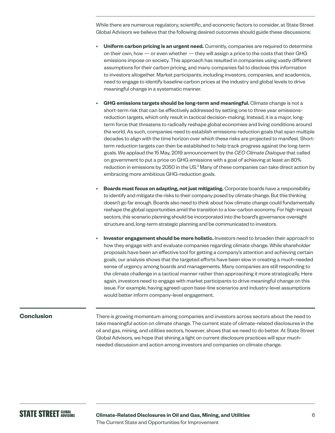While there are numerous regulatory, scientific, and economic factors to consider, at State Street Global Advisors we believe that the following desired outcomes should guide these discussions:

- **Uniform carbon pricing is an urgent need.** Currently, companies are required to determine on their own, how — or even whether — they will assign a price to the costs that their GHG emissions impose on society. This approach has resulted in companies using vastly different assumptions for their carbon pricing, and many companies fail to disclose this information to investors altogether. Market participants, including investors, companies, and academics, need to engage to identify baseline carbon prices at the industry and global levels to drive meaningful change in a systematic manner.
- **GHG emissions targets should be long-term and meaningful.** Climate change is not a short-term risk that can be effectively addressed by setting one to three year emissionsreduction targets, which only result in tactical decision-making. Instead, it is a major, longterm force that threatens to radically reshape global economies and living conditions around the world. As such, companies need to establish emissions-reduction goals that span multiple decades to align with the time horizon over which these risks are projected to manifest. Shortterm reduction targets can then be established to help track progress against the long-term goals. We applaud the 15 May, 2019 announcement by the *CEO Climate Dialogue* that called on government to put a price on GHG emissions with a goal of achieving at least an 80% reduction in emissions by 2050 in the US.<sup>3</sup> Many of these companies can take direct action by embracing more ambitious GHG-reduction goals.
- **Boards must focus on adapting, not just mitigating.** Corporate boards have a responsibility to identify and mitigate the risks to their company posed by climate change. But this thinking doesn't go far enough. Boards also need to think about how climate change could fundamentally reshape the global opportunities amid the transition to a low-carbon economy. For high-impact sectors, this scenario planning should be incorporated into the board's governance oversight structure and, long-term strategic planning and be communicated to investors.
- **Investor engagement should be more holistic.** Investors need to broaden their approach to how they engage with and evaluate companies regarding climate change. While shareholder proposals have been an effective tool for getting a company's attention and achieving certain goals, our analysis shows that the targeted efforts have been slow in creating a much-needed sense of urgency among boards and managements. Many companies are still responding to the climate challenge in a tactical manner rather than approaching it more strategically. Here again, investors need to engage with market participants to drive meaningful change on this issue. For example, having agreed-upon base-line scenarios and industry-level assumptions would better inform company-level engagement.

### **Conclusion**

There is growing momentum among companies and investors across sectors about the need to take meaningful action on climate change. The current state of climate-related disclosures in the oil and gas, mining, and utilities sectors, however, shows that we need to do better. At State Street Global Advisors, we hope that shining a light on current disclosure practices will spur muchneeded discussion and action among investors and companies on climate change.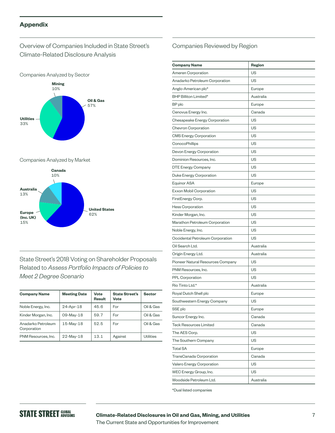# **Appendix**

# Overview of Companies Included in State Street's Climate-Related Disclosure Analysis





#### Companies Analyzed by Market



State Street's 2018 Voting on Shareholder Proposals Related to *Assess Portfolio Impacts of Policies to Meet 2 Degree Scenario* 

| <b>Company Name</b>               | <b>Meeting Date</b> | Vote<br><b>Result</b> | <b>State Street's</b><br>Vote | <b>Sector</b>    |
|-----------------------------------|---------------------|-----------------------|-------------------------------|------------------|
| Noble Energy, Inc.                | 24-Apr-18           | 45.6                  | For                           | Oil & Gas        |
| Kinder Morgan, Inc.               | 09-May-18           | 59.7                  | For                           | Oil & Gas        |
| Anadarko Petroleum<br>Corporation | 15-May-18           | 52.5                  | For                           | Oil & Gas        |
| PNM Resources, Inc.               | $22$ -May-18        | 13.1                  | Against                       | <b>Utilities</b> |

# Companies Reviewed by Region

| <b>Company Name</b>               | Region    |
|-----------------------------------|-----------|
| Ameren Corporation                | US        |
| Anadarko Petroleum Corporation    | US        |
| Anglo-American plc*               | Europe    |
| BHP Billiton Limited*             | Australia |
| BP plc                            | Europe    |
| Cenovus Energy Inc.               | Canada    |
| Chesapeake Energy Corporation     | US        |
| <b>Chevron Corporation</b>        | US        |
| <b>CMS Energy Corporation</b>     | US        |
| ConocoPhillips                    | US        |
| Devon Energy Corporation          | US        |
| Dominion Resources, Inc.          | US        |
| DTE Energy Company                | US        |
| Duke Energy Corporation           | US        |
| <b>Equinor ASA</b>                | Europe    |
| Exxon Mobil Corporation           | US        |
| FirstEnergy Corp.                 | US        |
| <b>Hess Corporation</b>           | US        |
| Kinder Morgan, Inc.               | US        |
| Marathon Petroleum Corporation    | US        |
| Noble Energy, Inc.                | US        |
| Occidental Petroleum Corporation  | US        |
| Oil Search Ltd.                   | Australia |
| Origin Energy Ltd.                | Australia |
| Pioneer Natural Resources Company | US        |
| PNM Resources, Inc.               | US        |
| <b>PPL Corporation</b>            | US        |
| Rio Tinto Ltd.*                   | Australia |
| Royal Dutch Shell plc             | Europe    |
| Southwestern Energy Company       | US        |
| SSE plc                           | Europe    |
| Suncor Energy Inc.                | Canada    |
| <b>Teck Resources Limited</b>     | Canada    |
| The AES Corp.                     | US        |
| The Southern Company              | US        |
| <b>Total SA</b>                   | Europe    |
| TransCanada Corporation           | Canada    |
| Valero Energy Corporation         | US        |
| WEC Energy Group, Inc.            | US        |
| Woodside Petroleum Ltd.           | Australia |
|                                   |           |

\*Dual listed companies